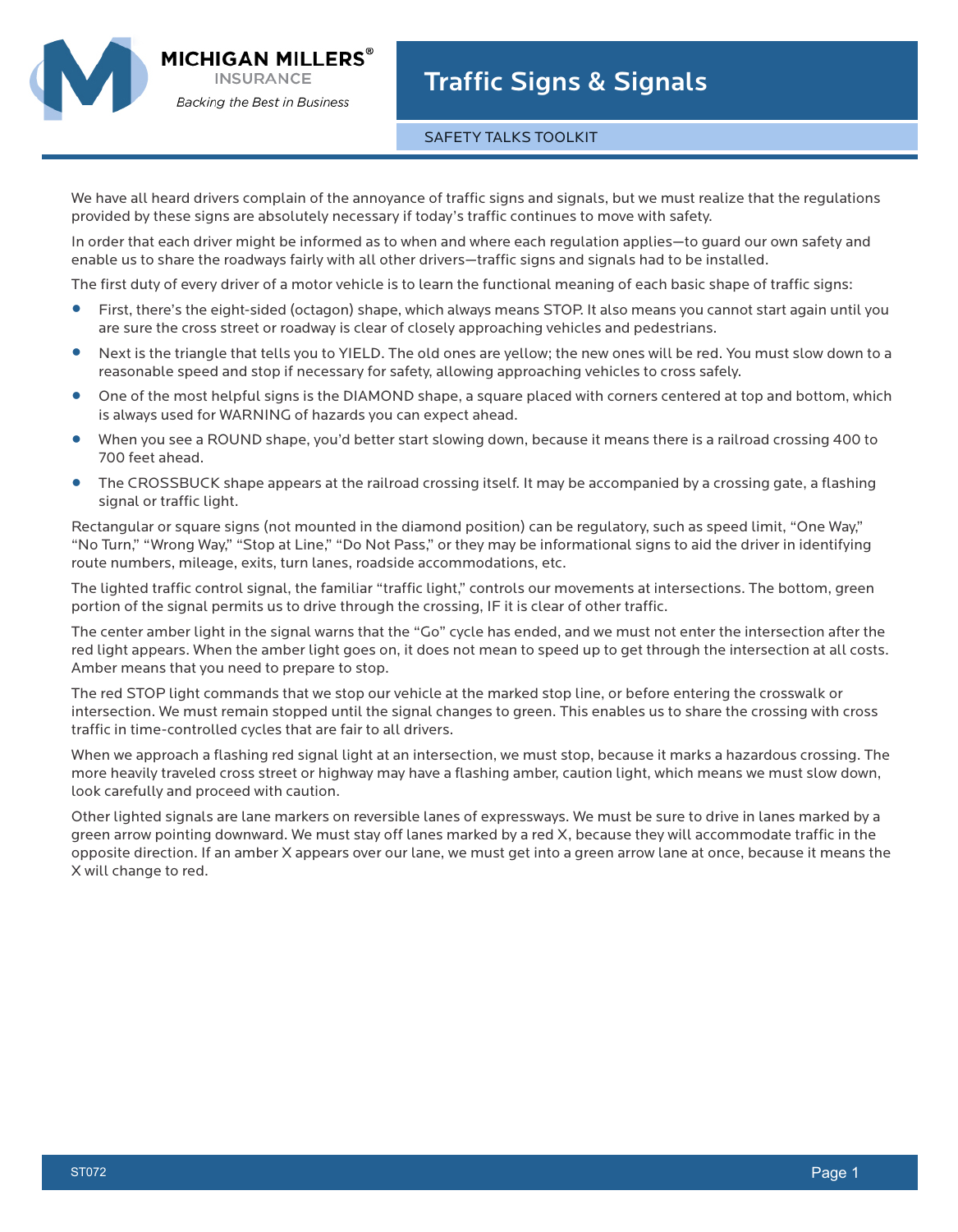MICHIGAN MILLERS`



## SAFETY TALKS TOOLKIT

We have all heard drivers complain of the annoyance of traffic signs and signals, but we must realize that the regulations provided by these signs are absolutely necessary if today's traffic continues to move with safety.

In order that each driver might be informed as to when and where each regulation applies—to guard our own safety and enable us to share the roadways fairly with all other drivers—traffic signs and signals had to be installed.

The first duty of every driver of a motor vehicle is to learn the functional meaning of each basic shape of traffic signs:

- **•** First, there's the eight-sided (octagon) shape, which always means STOP. It also means you cannot start again until you are sure the cross street or roadway is clear of closely approaching vehicles and pedestrians.
- **•** Next is the triangle that tells you to YIELD. The old ones are yellow; the new ones will be red. You must slow down to a reasonable speed and stop if necessary for safety, allowing approaching vehicles to cross safely.
- **•** One of the most helpful signs is the DIAMOND shape, a square placed with corners centered at top and bottom, which is always used for WARNING of hazards you can expect ahead.
- **•** When you see a ROUND shape, you'd better start slowing down, because it means there is a railroad crossing 400 to 700 feet ahead.
- **•** The CROSSBUCK shape appears at the railroad crossing itself. It may be accompanied by a crossing gate, a flashing signal or traffic light.

Rectangular or square signs (not mounted in the diamond position) can be regulatory, such as speed limit, "One Way," "No Turn," "Wrong Way," "Stop at Line," "Do Not Pass," or they may be informational signs to aid the driver in identifying route numbers, mileage, exits, turn lanes, roadside accommodations, etc.

The lighted traffic control signal, the familiar "traffic light," controls our movements at intersections. The bottom, green portion of the signal permits us to drive through the crossing, IF it is clear of other traffic.

The center amber light in the signal warns that the "Go" cycle has ended, and we must not enter the intersection after the red light appears. When the amber light goes on, it does not mean to speed up to get through the intersection at all costs. Amber means that you need to prepare to stop.

The red STOP light commands that we stop our vehicle at the marked stop line, or before entering the crosswalk or intersection. We must remain stopped until the signal changes to green. This enables us to share the crossing with cross traffic in time-controlled cycles that are fair to all drivers.

When we approach a flashing red signal light at an intersection, we must stop, because it marks a hazardous crossing. The more heavily traveled cross street or highway may have a flashing amber, caution light, which means we must slow down, look carefully and proceed with caution.

Other lighted signals are lane markers on reversible lanes of expressways. We must be sure to drive in lanes marked by a green arrow pointing downward. We must stay off lanes marked by a red X, because they will accommodate traffic in the opposite direction. If an amber X appears over our lane, we must get into a green arrow lane at once, because it means the X will change to red.